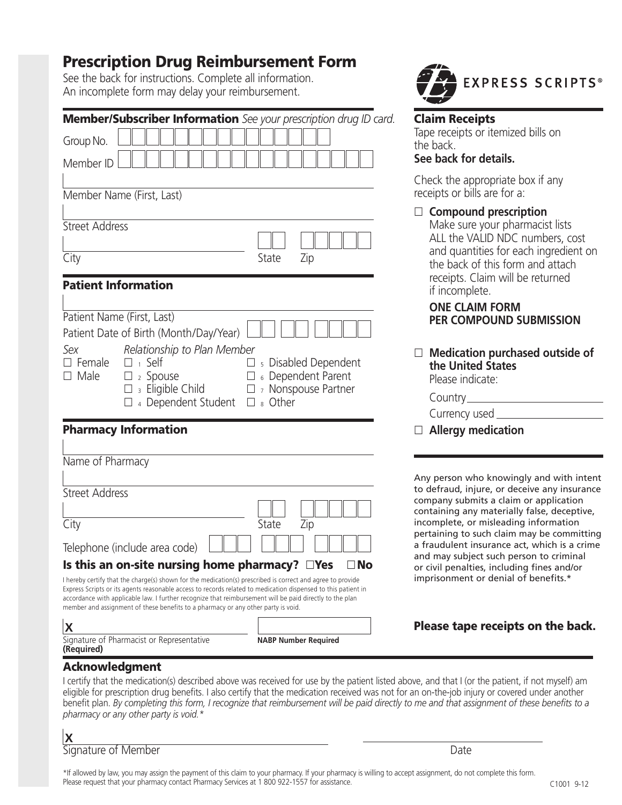# **Prescription Drug Reimbursement Form**

See the back for instructions. Complete all information. An incomplete form may delay your reimbursement.

|                                                            |                                                                                                                                               | Member/Subscriber Information See your prescription drug ID card.                                                                                                                                                                                                                                                                                           |
|------------------------------------------------------------|-----------------------------------------------------------------------------------------------------------------------------------------------|-------------------------------------------------------------------------------------------------------------------------------------------------------------------------------------------------------------------------------------------------------------------------------------------------------------------------------------------------------------|
| Group No.                                                  |                                                                                                                                               |                                                                                                                                                                                                                                                                                                                                                             |
| Member ID                                                  |                                                                                                                                               |                                                                                                                                                                                                                                                                                                                                                             |
| Member Name (First, Last)                                  |                                                                                                                                               |                                                                                                                                                                                                                                                                                                                                                             |
| <b>Street Address</b>                                      |                                                                                                                                               |                                                                                                                                                                                                                                                                                                                                                             |
| City                                                       |                                                                                                                                               | State<br>Zip                                                                                                                                                                                                                                                                                                                                                |
| <b>Patient Information</b>                                 |                                                                                                                                               |                                                                                                                                                                                                                                                                                                                                                             |
| Patient Name (First, Last)<br>Sex<br>$\Box$ Female<br>Male | Patient Date of Birth (Month/Day/Year)<br>Relationship to Plan Member<br>$\Box$ 1 Self<br>2 Spouse<br>3 Eligible Child<br>4 Dependent Student | <sub>5</sub> Disabled Dependent<br>6 Dependent Parent<br><sup>7</sup> Nonspouse Partner<br>$\square$ & Other                                                                                                                                                                                                                                                |
| <b>Pharmacy Information</b>                                |                                                                                                                                               |                                                                                                                                                                                                                                                                                                                                                             |
| Name of Pharmacy                                           |                                                                                                                                               |                                                                                                                                                                                                                                                                                                                                                             |
| <b>Street Address</b>                                      |                                                                                                                                               |                                                                                                                                                                                                                                                                                                                                                             |
| City                                                       |                                                                                                                                               | State<br>Zip                                                                                                                                                                                                                                                                                                                                                |
| Telephone (include area code)                              |                                                                                                                                               |                                                                                                                                                                                                                                                                                                                                                             |
|                                                            | Is this an on-site nursing home pharmacy?<br>member and assignment of these benefits to a pharmacy or any other party is void.                | No<br>$\Box$ Yes<br>I hereby certify that the charge(s) shown for the medication(s) prescribed is correct and agree to provide<br>Express Scripts or its agents reasonable access to records related to medication dispensed to this patient in<br>accordance with applicable law. I further recognize that reimbursement will be paid directly to the plan |
| ۔ ۔ا                                                       |                                                                                                                                               |                                                                                                                                                                                                                                                                                                                                                             |

Signature of Pharmacist or Representative **NABP Number Required**



## **Claim Receipts**

Tape receipts or itemized bills on the back.

#### **See back for details.**

Check the appropriate box if any receipts or bills are for a:

### □ Compound prescription

Make sure your pharmacist lists ALL the VALID NDC numbers, cost and quantities for each ingredient on the back of this form and attach receipts. Claim will be returned if incomplete.

### **ONE CLAIM FORM PER COMPOUND SUBMISSION**

 $\Box$  Medication purchased outside of **the United States**  Please indicate:

| $\Box$ Allergy medication |
|---------------------------|
| Currency used             |
| Country                   |

Any person who knowingly and with intent to defraud, injure, or deceive any insurance company submits a claim or application containing any materially false, deceptive, incomplete, or misleading information pertaining to such claim may be committing a fraudulent insurance act, which is a crime and may subject such person to criminal or civil penalties, including fines and/or imprisonment or denial of benefits.\*

# **Please tape receipts on the back.**

### **Acknowledgment**

**X**

**(Required)**

I certify that the medication(s) described above was received for use by the patient listed above, and that I (or the patient, if not myself) am eligible for prescription drug benefits. I also certify that the medication received was not for an on-the-job injury or covered under another benefit plan. *By completing this form, I recognize that reimbursement will be paid directly to me and that assignment of these benefits to a pharmacy or any other party is void.\**

| ته ا<br>$\sqrt{ }$  |  |  |
|---------------------|--|--|
| Signature of Member |  |  |

\*If allowed by law, you may assign the payment of this claim to your pharmacy. If your pharmacy is willing to accept assignment, do not complete this form. Please request that your pharmacy contact Pharmacy Services at 1 800 922-1557 for assistance.